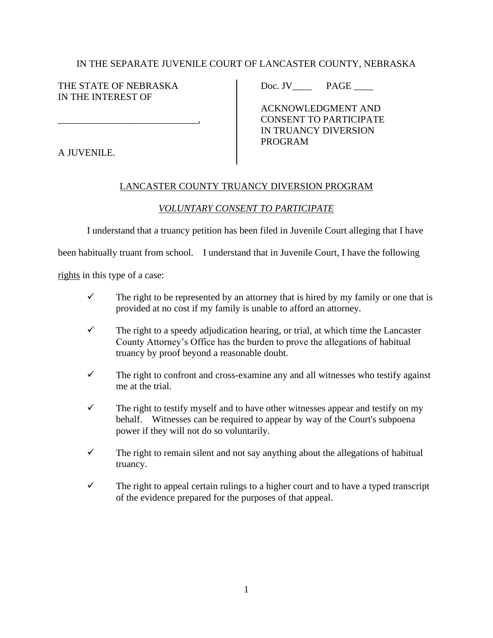## IN THE SEPARATE JUVENILE COURT OF LANCASTER COUNTY, NEBRASKA

THE STATE OF NEBRASKA Doc. JV\_\_\_\_ PAGE \_\_\_\_ IN THE INTEREST OF

 ACKNOWLEDGMENT AND \_\_\_\_\_\_\_\_\_\_\_\_\_\_\_\_\_\_\_\_\_\_\_\_\_\_\_\_\_, CONSENT TO PARTICIPATE IN TRUANCY DIVERSION PROGRAM

A JUVENILE.

## LANCASTER COUNTY TRUANCY DIVERSION PROGRAM

## *VOLUNTARY CONSENT TO PARTICIPATE*

I understand that a truancy petition has been filed in Juvenile Court alleging that I have

been habitually truant from school. I understand that in Juvenile Court, I have the following

rights in this type of a case:

- $\checkmark$  The right to be represented by an attorney that is hired by my family or one that is provided at no cost if my family is unable to afford an attorney.
- $\checkmark$  The right to a speedy adjudication hearing, or trial, at which time the Lancaster County Attorney's Office has the burden to prove the allegations of habitual truancy by proof beyond a reasonable doubt.
- $\checkmark$  The right to confront and cross-examine any and all witnesses who testify against me at the trial.
- $\checkmark$  The right to testify myself and to have other witnesses appear and testify on my behalf. Witnesses can be required to appear by way of the Court's subpoena power if they will not do so voluntarily.
- $\checkmark$  The right to remain silent and not say anything about the allegations of habitual truancy.
- $\checkmark$  The right to appeal certain rulings to a higher court and to have a typed transcript of the evidence prepared for the purposes of that appeal.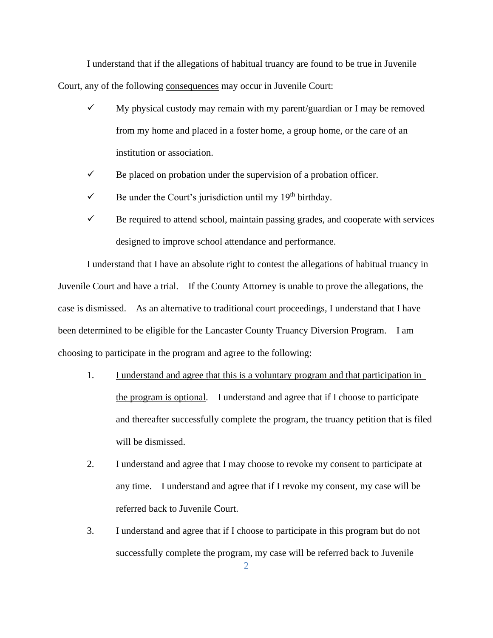I understand that if the allegations of habitual truancy are found to be true in Juvenile Court, any of the following consequences may occur in Juvenile Court:

- $\checkmark$  My physical custody may remain with my parent/guardian or I may be removed from my home and placed in a foster home, a group home, or the care of an institution or association.
- $\checkmark$  Be placed on probation under the supervision of a probation officer.
- $\checkmark$  Be under the Court's jurisdiction until my 19<sup>th</sup> birthday.
- $\checkmark$  Be required to attend school, maintain passing grades, and cooperate with services designed to improve school attendance and performance.

I understand that I have an absolute right to contest the allegations of habitual truancy in Juvenile Court and have a trial. If the County Attorney is unable to prove the allegations, the case is dismissed. As an alternative to traditional court proceedings, I understand that I have been determined to be eligible for the Lancaster County Truancy Diversion Program. I am choosing to participate in the program and agree to the following:

- 1. I understand and agree that this is a voluntary program and that participation in the program is optional. I understand and agree that if I choose to participate and thereafter successfully complete the program, the truancy petition that is filed will be dismissed.
- 2. I understand and agree that I may choose to revoke my consent to participate at any time. I understand and agree that if I revoke my consent, my case will be referred back to Juvenile Court.
- 3. I understand and agree that if I choose to participate in this program but do not successfully complete the program, my case will be referred back to Juvenile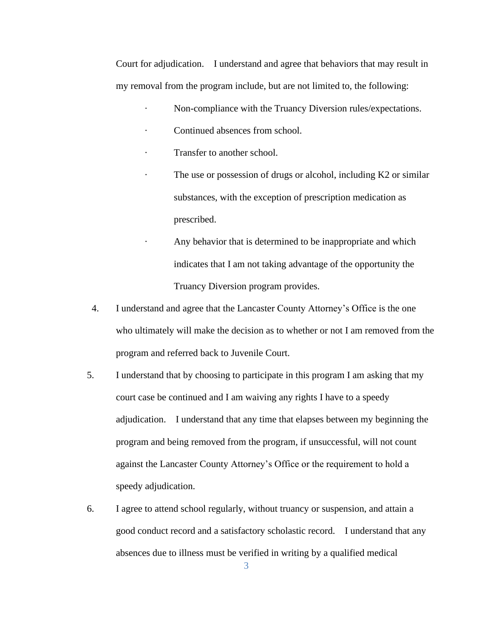Court for adjudication. I understand and agree that behaviors that may result in my removal from the program include, but are not limited to, the following:

- · Non-compliance with the Truancy Diversion rules/expectations.
- Continued absences from school.
- Transfer to another school.
- · The use or possession of drugs or alcohol, including K2 or similar substances, with the exception of prescription medication as prescribed.
	- Any behavior that is determined to be inappropriate and which indicates that I am not taking advantage of the opportunity the Truancy Diversion program provides.
- 4. I understand and agree that the Lancaster County Attorney's Office is the one who ultimately will make the decision as to whether or not I am removed from the program and referred back to Juvenile Court.
- 5. I understand that by choosing to participate in this program I am asking that my court case be continued and I am waiving any rights I have to a speedy adjudication. I understand that any time that elapses between my beginning the program and being removed from the program, if unsuccessful, will not count against the Lancaster County Attorney's Office or the requirement to hold a speedy adjudication.
- 6. I agree to attend school regularly, without truancy or suspension, and attain a good conduct record and a satisfactory scholastic record. I understand that any absences due to illness must be verified in writing by a qualified medical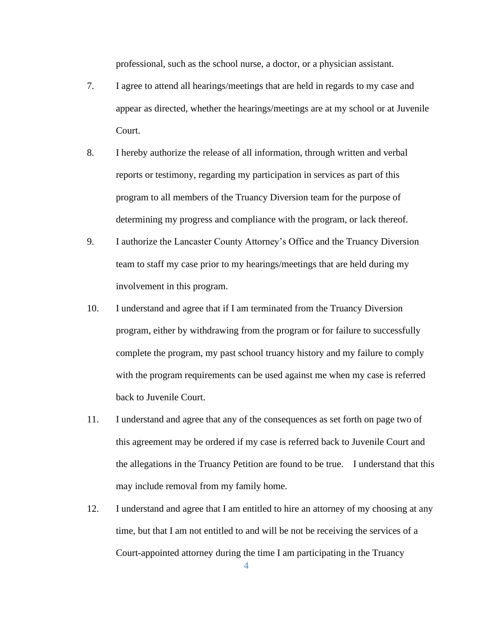professional, such as the school nurse, a doctor, or a physician assistant.

- 7. I agree to attend all hearings/meetings that are held in regards to my case and appear as directed, whether the hearings/meetings are at my school or at Juvenile Court.
- 8. I hereby authorize the release of all information, through written and verbal reports or testimony, regarding my participation in services as part of this program to all members of the Truancy Diversion team for the purpose of determining my progress and compliance with the program, or lack thereof.
- 9. I authorize the Lancaster County Attorney's Office and the Truancy Diversion team to staff my case prior to my hearings/meetings that are held during my involvement in this program.
- 10. I understand and agree that if I am terminated from the Truancy Diversion program, either by withdrawing from the program or for failure to successfully complete the program, my past school truancy history and my failure to comply with the program requirements can be used against me when my case is referred back to Juvenile Court.
- 11. I understand and agree that any of the consequences as set forth on page two of this agreement may be ordered if my case is referred back to Juvenile Court and the allegations in the Truancy Petition are found to be true. I understand that this may include removal from my family home.
- 12. I understand and agree that I am entitled to hire an attorney of my choosing at any time, but that I am not entitled to and will be not be receiving the services of a Court-appointed attorney during the time I am participating in the Truancy

4